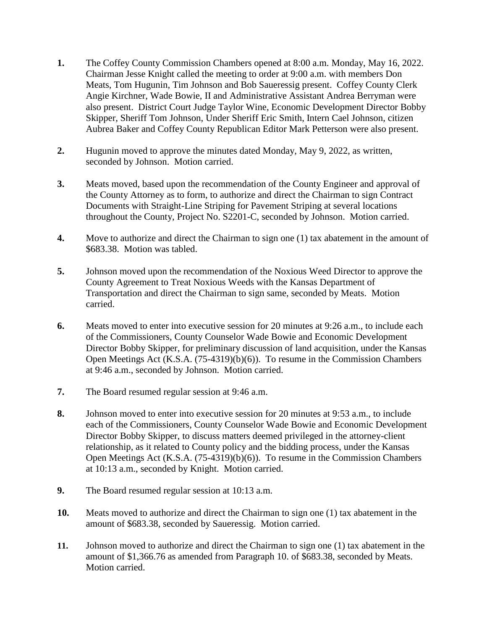- **1.** The Coffey County Commission Chambers opened at 8:00 a.m. Monday, May 16, 2022. Chairman Jesse Knight called the meeting to order at 9:00 a.m. with members Don Meats, Tom Hugunin, Tim Johnson and Bob Saueressig present. Coffey County Clerk Angie Kirchner, Wade Bowie, II and Administrative Assistant Andrea Berryman were also present. District Court Judge Taylor Wine, Economic Development Director Bobby Skipper, Sheriff Tom Johnson, Under Sheriff Eric Smith, Intern Cael Johnson, citizen Aubrea Baker and Coffey County Republican Editor Mark Petterson were also present.
- **2.** Hugunin moved to approve the minutes dated Monday, May 9, 2022, as written, seconded by Johnson. Motion carried.
- **3.** Meats moved, based upon the recommendation of the County Engineer and approval of the County Attorney as to form, to authorize and direct the Chairman to sign Contract Documents with Straight-Line Striping for Pavement Striping at several locations throughout the County, Project No. S2201-C, seconded by Johnson. Motion carried.
- **4.** Move to authorize and direct the Chairman to sign one (1) tax abatement in the amount of \$683.38. Motion was tabled.
- **5.** Johnson moved upon the recommendation of the Noxious Weed Director to approve the County Agreement to Treat Noxious Weeds with the Kansas Department of Transportation and direct the Chairman to sign same, seconded by Meats. Motion carried.
- **6.** Meats moved to enter into executive session for 20 minutes at 9:26 a.m., to include each of the Commissioners, County Counselor Wade Bowie and Economic Development Director Bobby Skipper, for preliminary discussion of land acquisition, under the Kansas Open Meetings Act (K.S.A. (75-4319)(b)(6)). To resume in the Commission Chambers at 9:46 a.m., seconded by Johnson. Motion carried.
- **7.** The Board resumed regular session at 9:46 a.m.
- **8.** Johnson moved to enter into executive session for 20 minutes at 9:53 a.m., to include each of the Commissioners, County Counselor Wade Bowie and Economic Development Director Bobby Skipper, to discuss matters deemed privileged in the attorney-client relationship, as it related to County policy and the bidding process, under the Kansas Open Meetings Act (K.S.A. (75-4319)(b)(6)). To resume in the Commission Chambers at 10:13 a.m., seconded by Knight. Motion carried.
- **9.** The Board resumed regular session at 10:13 a.m.
- **10.** Meats moved to authorize and direct the Chairman to sign one (1) tax abatement in the amount of \$683.38, seconded by Saueressig. Motion carried.
- **11.** Johnson moved to authorize and direct the Chairman to sign one (1) tax abatement in the amount of \$1,366.76 as amended from Paragraph 10. of \$683.38, seconded by Meats. Motion carried.